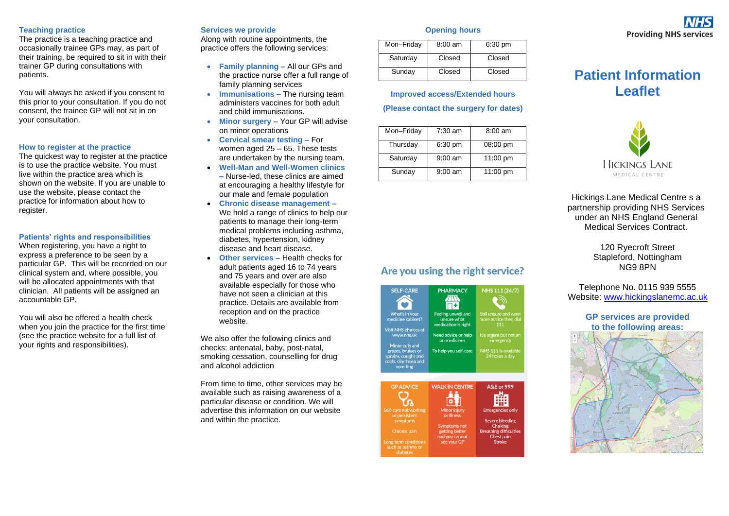#### **Teaching practice**

The practice is a teaching practice and occasionally trainee GPs may, as part of their training, be required to sit in with their trainer GP during consultations with patients.

You will always be asked if you consent to this prior to your consultation. If you do not consent, the trainee GP will not sit in on your consultation.

#### **How to register at the practice**

The quickest way to register at the practice is to use the practice website. You must live within the practice area which is shown on the website. If you are unable to use the website, please contact the practice for information about how to register.

#### **Patients' rights and responsibilities**

When registering, you have a right to express a preference to be seen by a particular GP. This will be recorded on our clinical system and, where possible, you will be allocated appointments with that clinician. All patients will be assigned an accountable GP.

You will also be offered a health check when you join the practice for the first time (see the practice website for a full list of your rights and responsibilities).

#### **Services we provide**

Along with routine appointments, the practice offers the following services:

- **Family planning –** All our GPs and the practice nurse offer a full range of family planning services
- **Immunisations –** The nursing team administers vaccines for both adult and child immunisations.
- **Minor surgery –** Your GP will advise on minor operations
- **Cervical smear testing –** For women aged 25 – 65. These tests are undertaken by the nursing team.
- **Well-Man and Well-Women clinics –** Nurse-led, these clinics are aimed at encouraging a healthy lifestyle for our male and female population
- **Chronic disease management –** We hold a range of clinics to help our patients to manage their long-term medical problems including asthma, diabetes, hypertension, kidney disease and heart disease.
- **Other services –** Health checks for adult patients aged 16 to 74 years and 75 years and over are also available especially for those who have not seen a clinician at this practice. Details are available from reception and on the practice website.

We also offer the following clinics and checks: antenatal, baby, post-natal, [smoking cessation, counselling for drug](https://www.primarycare.nhs.uk/publicfn/catchment.aspx?oc=C84705&h=800&w=800&if=0)  [and alcohol addiction](https://www.primarycare.nhs.uk/publicfn/catchment.aspx?oc=C84705&h=800&w=800&if=0) 

[From time to time, other services may be](https://www.primarycare.nhs.uk/publicfn/catchment.aspx?oc=C84705&h=800&w=800&if=0)  available such as raising awareness of a [particular disease or condition. We will](https://www.primarycare.nhs.uk/publicfn/catchment.aspx?oc=C84705&h=800&w=800&if=0)  advertise this information on our website and within the practice.

#### **Opening hours**

| Mon-Friday | $8:00 \text{ am}$ | $6:30$ pm |
|------------|-------------------|-----------|
| Saturday   | Closed            | Closed    |
| Sunday     | Closed            | Closed    |

## **Improved access/Extended hours**

#### **(Please contact the surgery for dates)**

| Mon-Friday | $7:30$ am | $8:00 \text{ am}$  |
|------------|-----------|--------------------|
| Thursday   | $6:30$ pm | $08:00 \text{ pm}$ |
| Saturday   | $9:00$ am | 11:00 pm           |
| Sunday     | $9:00$ am | 11:00 pm           |

Are you using the right service?

**PHARMACY** 

冊

Feeling unwell and unsure what<br>medication is right

Need advice or help

on medicines

To help you self-care

**WALK IN CENTRE** 

齡

Minor injury<br>or illness

**Symptoms not** getting better

and you cannot see your GP

NHS 111 (24/7)

 $111$ 

IHS 111 is availab<br>24 hours a day

**A&E** or 999

曲

**Emergencies only** 

**Severe bleeding** Choking<br>Breathing difficulties

Chest pain

SELE-CARE

Ô

What's in your<br>medicine cabine

Visit NHS choices a

www.nhs.uk

Friend cuts and<br>grazes, bruises or<br>sprains, coughs and<br>colds, diarrhoea and<br>vomiting

**GP ADVICE** 

 $\mathcal{C}_{\mathbf{a}}$ 

If care not working or persisten

such as asthma o

# **Patient Information**

## **Leaflet**



Hickings Lane Medical Centre s a partnership providing NHS Services under an NHS England General Medical Services Contract.

> 120 Ryecroft Street Stapleford, Nottingham NG9 8PN

## Telephone No. 0115 939 5555 Website: [www.hickingslanemc.ac.uk](http://www.hickingslanemc.ac.uk/)

### **GP services are provided to the following areas:**



## **Providing NHS services**